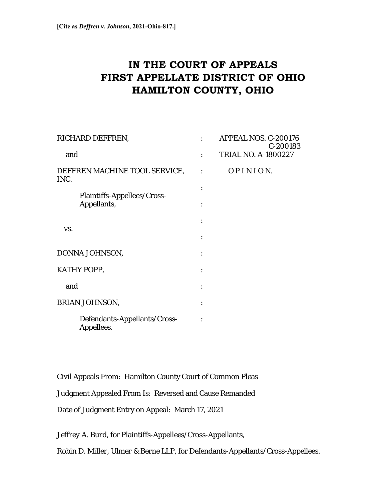# **IN THE COURT OF APPEALS FIRST APPELLATE DISTRICT OF OHIO HAMILTON COUNTY, OHIO**

| RICHARD DEFFREN,                      |                                            | APPEAL NOS. C-200176<br>C-200183 |
|---------------------------------------|--------------------------------------------|----------------------------------|
| and                                   |                                            | <b>TRIAL NO. A-1800227</b>       |
| DEFFREN MACHINE TOOL SERVICE,<br>INC. |                                            | OPINION.                         |
|                                       | Plaintiffs-Appellees/Cross-<br>Appellants, |                                  |
| VS.                                   |                                            |                                  |
| DONNA JOHNSON,                        |                                            |                                  |
| KATHY POPP,                           |                                            |                                  |
| and                                   |                                            |                                  |
| BRIAN JOHNSON,                        |                                            |                                  |
|                                       | Defendants-Appellants/Cross-<br>Appellees. |                                  |

Civil Appeals From: Hamilton County Court of Common Pleas

Judgment Appealed From Is: Reversed and Cause Remanded

Date of Judgment Entry on Appeal: March 17, 2021

*Jeffrey A. Burd*, for Plaintiffs-Appellees/Cross-Appellants,

*Robin D. Miller, Ulmer & Berne LLP,* for Defendants-Appellants/Cross-Appellees.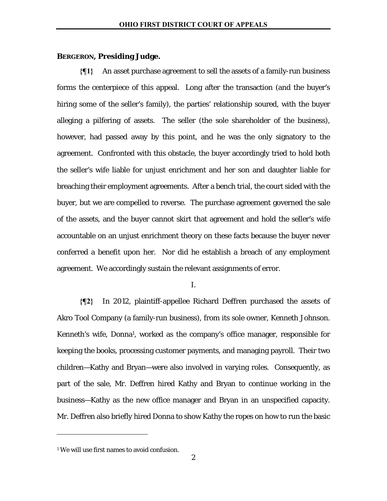### **BERGERON, Presiding Judge.**

**{¶1}** An asset purchase agreement to sell the assets of a family-run business forms the centerpiece of this appeal. Long after the transaction (and the buyer's hiring some of the seller's family), the parties' relationship soured, with the buyer alleging a pilfering of assets. The seller (the sole shareholder of the business), however, had passed away by this point, and he was the only signatory to the agreement. Confronted with this obstacle, the buyer accordingly tried to hold both the seller's wife liable for unjust enrichment and her son and daughter liable for breaching their employment agreements. After a bench trial, the court sided with the buyer, but we are compelled to reverse. The purchase agreement governed the sale of the assets, and the buyer cannot skirt that agreement and hold the seller's wife accountable on an unjust enrichment theory on these facts because the buyer never conferred a benefit upon her. Nor did he establish a breach of any employment agreement. We accordingly sustain the relevant assignments of error.

I.

**{¶2}** In 2012, plaintiff-appellee Richard Deffren purchased the assets of Akro Tool Company (a family-run business), from its sole owner, Kenneth Johnson. Kenneth's wife, Donna<sup>1</sup>, worked as the company's office manager, responsible for keeping the books, processing customer payments, and managing payroll. Their two children—Kathy and Bryan—were also involved in varying roles. Consequently, as part of the sale, Mr. Deffren hired Kathy and Bryan to continue working in the business—Kathy as the new office manager and Bryan in an unspecified capacity. Mr. Deffren also briefly hired Donna to show Kathy the ropes on how to run the basic

-

<sup>&</sup>lt;sup>1</sup> We will use first names to avoid confusion.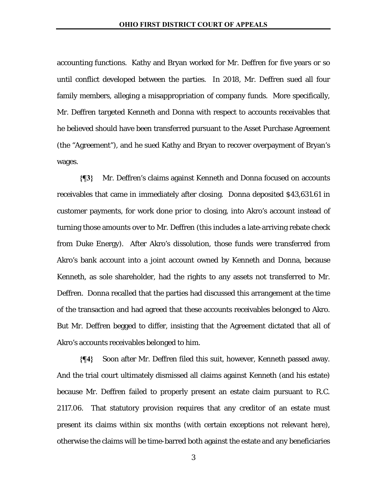accounting functions. Kathy and Bryan worked for Mr. Deffren for five years or so until conflict developed between the parties. In 2018, Mr. Deffren sued all four family members, alleging a misappropriation of company funds. More specifically, Mr. Deffren targeted Kenneth and Donna with respect to accounts receivables that he believed should have been transferred pursuant to the Asset Purchase Agreement (the "Agreement"), and he sued Kathy and Bryan to recover overpayment of Bryan's wages.

**{¶3}** Mr. Deffren's claims against Kenneth and Donna focused on accounts receivables that came in immediately after closing. Donna deposited \$43,631.61 in customer payments, for work done *prior to* closing, into Akro's account instead of turning those amounts over to Mr. Deffren (this includes a late-arriving rebate check from Duke Energy). After Akro's dissolution, those funds were transferred from Akro's bank account into a joint account owned by Kenneth and Donna, because Kenneth, as sole shareholder, had the rights to any assets not transferred to Mr. Deffren. Donna recalled that the parties had discussed this arrangement at the time of the transaction and had agreed that these accounts receivables belonged to Akro. But Mr. Deffren begged to differ, insisting that the Agreement dictated that all of Akro's accounts receivables belonged to him.

**{¶4}** Soon after Mr. Deffren filed this suit, however, Kenneth passed away. And the trial court ultimately dismissed all claims against Kenneth (and his estate) because Mr. Deffren failed to properly present an estate claim pursuant to R.C. 2117.06. That statutory provision requires that any creditor of an estate must present its claims within six months (with certain exceptions not relevant here), otherwise the claims will be time-barred both against the estate and any beneficiaries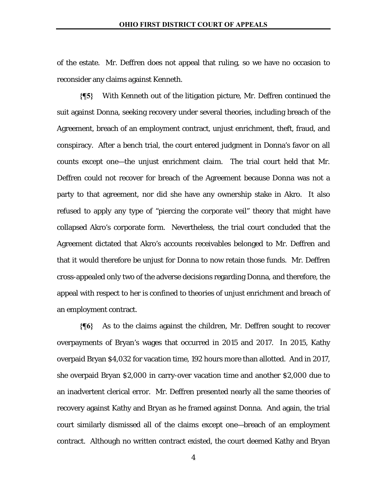of the estate. Mr. Deffren does not appeal that ruling, so we have no occasion to reconsider any claims against Kenneth.

**{¶5}** With Kenneth out of the litigation picture, Mr. Deffren continued the suit against Donna, seeking recovery under several theories, including breach of the Agreement, breach of an employment contract, unjust enrichment, theft, fraud, and conspiracy. After a bench trial, the court entered judgment in Donna's favor on all counts except one—the unjust enrichment claim. The trial court held that Mr. Deffren could not recover for breach of the Agreement because Donna was not a party to that agreement, nor did she have any ownership stake in Akro. It also refused to apply any type of "piercing the corporate veil" theory that might have collapsed Akro's corporate form. Nevertheless, the trial court concluded that the Agreement dictated that Akro's accounts receivables belonged to Mr. Deffren and that it would therefore be unjust for Donna to now retain those funds. Mr. Deffren cross-appealed only two of the adverse decisions regarding Donna, and therefore, the appeal with respect to her is confined to theories of unjust enrichment and breach of an employment contract.

**{¶6}** As to the claims against the children, Mr. Deffren sought to recover overpayments of Bryan's wages that occurred in 2015 and 2017. In 2015, Kathy overpaid Bryan \$4,032 for vacation time, 192 hours more than allotted. And in 2017, she overpaid Bryan \$2,000 in carry-over vacation time and another \$2,000 due to an inadvertent clerical error. Mr. Deffren presented nearly all the same theories of recovery against Kathy and Bryan as he framed against Donna. And again, the trial court similarly dismissed all of the claims except one—breach of an employment contract. Although no written contract existed, the court deemed Kathy and Bryan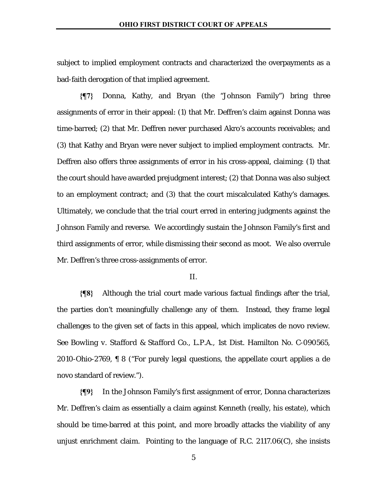subject to implied employment contracts and characterized the overpayments as a bad-faith derogation of that implied agreement.

**{¶7}** Donna, Kathy, and Bryan (the "Johnson Family") bring three assignments of error in their appeal: (1) that Mr. Deffren's claim against Donna was time-barred; (2) that Mr. Deffren never purchased Akro's accounts receivables; and (3) that Kathy and Bryan were never subject to implied employment contracts. Mr. Deffren also offers three assignments of error in his cross-appeal, claiming: (1) that the court should have awarded prejudgment interest; (2) that Donna was also subject to an employment contract; and (3) that the court miscalculated Kathy's damages. Ultimately, we conclude that the trial court erred in entering judgments against the Johnson Family and reverse. We accordingly sustain the Johnson Family's first and third assignments of error, while dismissing their second as moot. We also overrule Mr. Deffren's three cross-assignments of error.

#### II.

**{¶8}** Although the trial court made various factual findings after the trial, the parties don't meaningfully challenge any of them. Instead, they frame legal challenges to the given set of facts in this appeal, which implicates de novo review. *See Bowling v. Stafford & Stafford Co., L.P.A.*, 1st Dist. Hamilton No. C-090565, 2010-Ohio-2769, ¶ 8 ("For purely legal questions, the appellate court applies a de novo standard of review.").

**{¶9}** In the Johnson Family's first assignment of error, Donna characterizes Mr. Deffren's claim as essentially a claim against Kenneth (really, his estate), which should be time-barred at this point, and more broadly attacks the viability of any unjust enrichment claim. Pointing to the language of R.C. 2117.06(C), she insists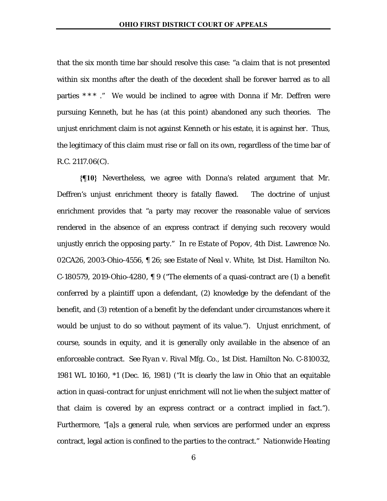that the six month time bar should resolve this case: "a claim that is not presented within six months after the death of the decedent shall be forever barred as to all parties  $***$ ." We would be inclined to agree with Donna if Mr. Deffren were pursuing Kenneth, but he has (at this point) abandoned any such theories. The unjust enrichment claim is not against Kenneth or his estate, it is against *her*. Thus, the legitimacy of this claim must rise or fall on its own, regardless of the time bar of R.C. 2117.06(C).

**{¶10}** Nevertheless, we agree with Donna's related argument that Mr. Deffren's unjust enrichment theory is fatally flawed. The doctrine of unjust enrichment provides that "a party may recover the reasonable value of services rendered in the absence of an express contract if denying such recovery would unjustly enrich the opposing party." *In re Estate of Popov*, 4th Dist. Lawrence No. 02CA26, 2003-Ohio-4556, ¶ 26; *see Estate of Neal v. White*, 1st Dist. Hamilton No. C-180579, 2019-Ohio-4280,  $\parallel$  9 ("The elements of a quasi-contract are (1) a benefit conferred by a plaintiff upon a defendant, (2) knowledge by the defendant of the benefit, and (3) retention of a benefit by the defendant under circumstances where it would be unjust to do so without payment of its value."). Unjust enrichment, of course, sounds in equity, and it is generally only available in the absence of an enforceable contract. *See Ryan v. Rival Mfg. Co.*, 1st Dist. Hamilton No. C-810032, 1981 WL 10160, \*1 (Dec. 16, 1981) ("It is clearly the law in Ohio that an equitable action in quasi-contract for unjust enrichment will not lie when the subject matter of that claim is covered by an express contract or a contract implied in fact."). Furthermore, "[a]s a general rule, when services are performed under an express contract, legal action is confined to the parties to the contract." *Nationwide Heating*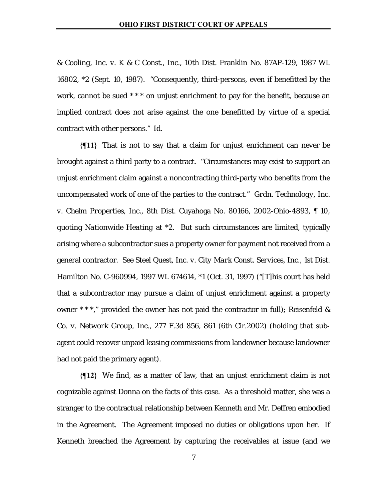*& Cooling, Inc. v. K & C Const., Inc.*, 10th Dist. Franklin No. 87AP-129, 1987 WL 16802, \*2 (Sept. 10, 1987). "Consequently, third-persons, even if benefitted by the work, cannot be sued \*\*\* on unjust enrichment to pay for the benefit, because an implied contract does not arise against the one benefitted by virtue of a special contract with other persons." *Id.*

**{¶11}** That is not to say that a claim for unjust enrichment can never be brought against a third party to a contract. "Circumstances may exist to support an unjust enrichment claim against a noncontracting third-party who benefits from the uncompensated work of one of the parties to the contract." *Grdn. Technology, Inc. v. Chelm Properties, Inc.*, 8th Dist. Cuyahoga No. 80166, 2002-Ohio-4893, ¶ 10, quoting *Nationwide Heating* at \*2. But such circumstances are limited, typically arising where a subcontractor sues a property owner for payment not received from a general contractor. *See Steel Quest, Inc. v. City Mark Const. Services, Inc.*, 1st Dist. Hamilton No. C-960994, 1997 WL 674614, \*1 (Oct. 31, 1997) ("[T]his court has held that a subcontractor may pursue a claim of unjust enrichment against a property owner \* \* \*," provided the owner has not paid the contractor in full); *Reisenfeld & Co. v. Network Group, Inc.*, 277 F.3d 856, 861 (6th Cir.2002) (holding that subagent could recover unpaid leasing commissions from landowner because landowner had not paid the primary agent).

**{¶12}** We find, as a matter of law, that an unjust enrichment claim is not cognizable against Donna on the facts of this case. As a threshold matter, she was a stranger to the contractual relationship between Kenneth and Mr. Deffren embodied in the Agreement. The Agreement imposed no duties or obligations upon her. If Kenneth breached the Agreement by capturing the receivables at issue (and we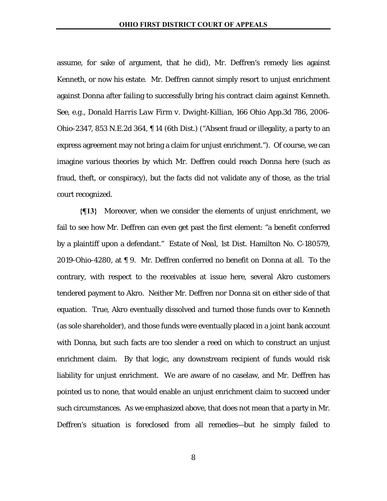assume, for sake of argument, that he did), Mr. Deffren's remedy lies against Kenneth, or now his estate. Mr. Deffren cannot simply resort to unjust enrichment against Donna after failing to successfully bring his contract claim against Kenneth. *See, e.g., Donald Harris Law Firm v. Dwight-Killian*, 166 Ohio App.3d 786, 2006- Ohio-2347, 853 N.E.2d 364, ¶ 14 (6th Dist.) ("Absent fraud or illegality, a party to an express agreement may not bring a claim for unjust enrichment."). Of course, we can imagine various theories by which Mr. Deffren could reach Donna here (such as fraud, theft, or conspiracy), but the facts did not validate any of those, as the trial court recognized.

**{¶13}** Moreover, when we consider the elements of unjust enrichment, we fail to see how Mr. Deffren can even get past the first element: "a benefit conferred by a plaintiff upon a defendant." *Estate of Neal*, 1st Dist. Hamilton No. C-180579, 2019-Ohio-4280, at ¶ 9. Mr. Deffren conferred no benefit on Donna at all. To the contrary, with respect to the receivables at issue here, several Akro customers tendered payment to Akro. Neither Mr. Deffren nor Donna sit on either side of that equation. True, Akro eventually dissolved and turned those funds over to Kenneth (as sole shareholder), and those funds were eventually placed in a joint bank account with Donna, but such facts are too slender a reed on which to construct an unjust enrichment claim. By that logic, any downstream recipient of funds would risk liability for unjust enrichment. We are aware of no caselaw, and Mr. Deffren has pointed us to none, that would enable an unjust enrichment claim to succeed under such circumstances. As we emphasized above, that does not mean that a party in Mr. Deffren's situation is foreclosed from all remedies—but he simply failed to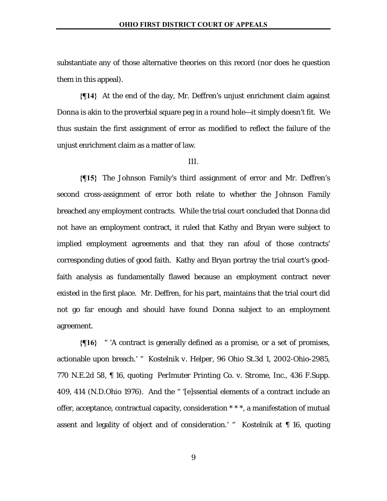substantiate any of those alternative theories on this record (nor does he question them in this appeal).

**{¶14}** At the end of the day, Mr. Deffren's unjust enrichment claim against Donna is akin to the proverbial square peg in a round hole—it simply doesn't fit. We thus sustain the first assignment of error as modified to reflect the failure of the unjust enrichment claim as a matter of law.

#### III.

**{¶15}** The Johnson Family's third assignment of error and Mr. Deffren's second cross-assignment of error both relate to whether the Johnson Family breached any employment contracts. While the trial court concluded that Donna did not have an employment contract, it ruled that Kathy and Bryan *were* subject to implied employment agreements and that they ran afoul of those contracts' corresponding duties of good faith. Kathy and Bryan portray the trial court's goodfaith analysis as fundamentally flawed because an employment contract never existed in the first place. Mr. Deffren, for his part, maintains that the trial court did not go far enough and should have found Donna subject to an employment agreement.

**{¶16}** " 'A contract is generally defined as a promise, or a set of promises, actionable upon breach.' " *Kostelnik v. Helper*, 96 Ohio St.3d 1, 2002-Ohio-2985, 770 N.E.2d 58, ¶ 16, quoting *Perlmuter Printing Co. v. Strome, Inc.*, 436 F.Supp. 409, 414 (N.D.Ohio 1976). And the " '[e]ssential elements of a contract include an offer, acceptance, contractual capacity, consideration \* \* \*, a manifestation of mutual assent and legality of object and of consideration.' " *Kostelnik* at ¶ 16, quoting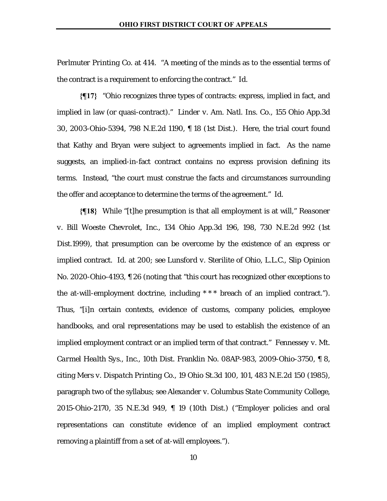*Perlmuter Printing Co.* at 414. "A meeting of the minds as to the essential terms of the contract is a requirement to enforcing the contract." *Id.*

**{¶17}** "Ohio recognizes three types of contracts: express, implied in fact, and implied in law (or quasi-contract)." *Linder v. Am. Natl. Ins. Co.*, 155 Ohio App.3d 30, 2003-Ohio-5394, 798 N.E.2d 1190, ¶ 18 (1st Dist.). Here, the trial court found that Kathy and Bryan were subject to agreements implied in fact. As the name suggests, an implied-in-fact contract contains no express provision defining its terms. Instead, "the court must construe the facts and circumstances surrounding the offer and acceptance to determine the terms of the agreement." *Id.*

**{¶18}** While "[t]he presumption is that all employment is at will," *Reasoner v. Bill Woeste Chevrolet, Inc.*, 134 Ohio App.3d 196, 198, 730 N.E.2d 992 (1st Dist.1999), that presumption can be overcome by the existence of an express or implied contract. *Id.* at 200; *see Lunsford v. Sterilite of Ohio, L.L.C*., Slip Opinion No. 2020-Ohio-4193, ¶ 26 (noting that "this court has recognized other exceptions to the at-will-employment doctrine, including \* \* \* breach of an implied contract."). Thus, "[i]n certain contexts, evidence of customs, company policies, employee handbooks, and oral representations may be used to establish the existence of an implied employment contract or an implied term of that contract." *Fennessey v. Mt. Carmel Health Sys., Inc.*, 10th Dist. Franklin No. 08AP-983, 2009-Ohio-3750, ¶ 8, citing *Mers v. Dispatch Printing Co.*, 19 Ohio St.3d 100, 101, 483 N.E.2d 150 (1985), paragraph two of the syllabus; *see Alexander v. Columbus State Community College*, 2015-Ohio-2170, 35 N.E.3d 949, ¶ 19 (10th Dist.) ("Employer policies and oral representations can constitute evidence of an implied employment contract removing a plaintiff from a set of at-will employees.").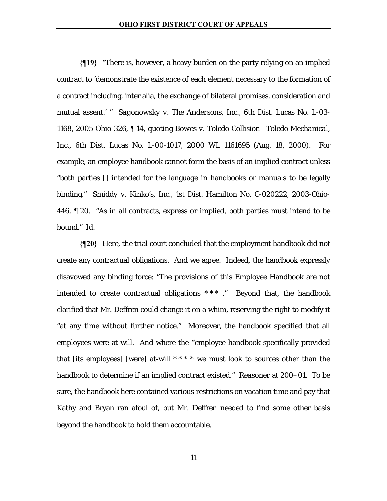**{¶19}** "There is, however, a heavy burden on the party relying on an implied contract to 'demonstrate the existence of each element necessary to the formation of a contract including, inter alia, the exchange of bilateral promises, consideration and mutual assent.' " *Sagonowsky v. The Andersons, Inc.*, 6th Dist. Lucas No. L-03- 1168, 2005-Ohio-326, ¶ 14, quoting *Bowes v. Toledo Collision—Toledo Mechanical, Inc.*, 6th Dist. Lucas No. L-00-1017, 2000 WL 1161695 (Aug. 18, 2000). For example, an employee handbook cannot form the basis of an implied contract unless "both parties [] intended for the language in handbooks or manuals to be legally binding." *Smiddy v. Kinko's, Inc.*, 1st Dist. Hamilton No. C-020222, 2003-Ohio-446, ¶ 20. "As in all contracts, express or implied, both parties must intend to be bound." *Id.*

**{¶20}** Here, the trial court concluded that the employment handbook did not create any contractual obligations. And we agree. Indeed, the handbook expressly disavowed any binding force: "The provisions of this Employee Handbook are not intended to create contractual obligations \* \* \* ." Beyond that, the handbook clarified that Mr. Deffren could change it on a whim, reserving the right to modify it "at any time without further notice." Moreover, the handbook specified that all employees were at-will. And where the "employee handbook specifically provided that [its employees] [were] at-will  $***$  \* we must look to sources other than the handbook to determine if an implied contract existed." *Reasoner* at 200–01. To be sure, the handbook here contained various restrictions on vacation time and pay that Kathy and Bryan ran afoul of, but Mr. Deffren needed to find some other basis beyond the handbook to hold them accountable.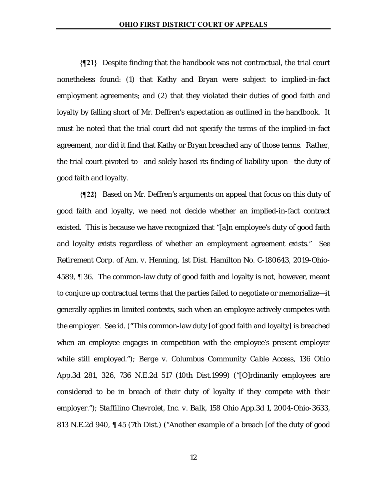**{¶21}** Despite finding that the handbook was not contractual, the trial court nonetheless found: (1) that Kathy and Bryan were subject to implied-in-fact employment agreements; and (2) that they violated their duties of good faith and loyalty by falling short of Mr. Deffren's expectation as outlined in the handbook. It must be noted that the trial court did not specify the terms of the implied-in-fact agreement, nor did it find that Kathy or Bryan breached any of those terms. Rather, the trial court pivoted to—and solely based its finding of liability upon—the duty of good faith and loyalty.

**{¶22}** Based on Mr. Deffren's arguments on appeal that focus on this duty of good faith and loyalty, we need not decide whether an implied-in-fact contract existed. This is because we have recognized that "[a]n employee's duty of good faith and loyalty exists regardless of whether an employment agreement exists." *See Retirement Corp. of Am. v. Henning*, 1st Dist. Hamilton No. C-180643, 2019-Ohio-4589, ¶ 36. The common-law duty of good faith and loyalty is not, however, meant to conjure up contractual terms that the parties failed to negotiate or memorialize—it generally applies in limited contexts, such when an employee actively competes with the employer. *See id.* ("This common-law duty [of good faith and loyalty] is breached when an employee engages in competition with the employee's present employer while still employed."); *Berge v. Columbus Community Cable Access*, 136 Ohio App.3d 281, 326, 736 N.E.2d 517 (10th Dist.1999) ("[O]rdinarily employees are considered to be in breach of their duty of loyalty if they compete with their employer."); *Staffilino Chevrolet, Inc. v. Balk*, 158 Ohio App.3d 1, 2004-Ohio-3633, 813 N.E.2d 940, ¶ 45 (7th Dist.) ("Another example of a breach [of the duty of good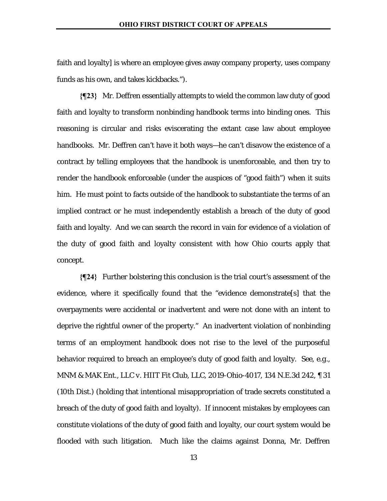faith and loyalty] is where an employee gives away company property, uses company funds as his own, and takes kickbacks.").

**{¶23}** Mr. Deffren essentially attempts to wield the common law duty of good faith and loyalty to transform nonbinding handbook terms into binding ones. This reasoning is circular and risks eviscerating the extant case law about employee handbooks. Mr. Deffren can't have it both ways—he can't disavow the existence of a contract by telling employees that the handbook is unenforceable, and then try to render the handbook enforceable (under the auspices of "good faith") when it suits him. He must point to facts outside of the handbook to substantiate the terms of an implied contract or he must independently establish a breach of the duty of good faith and loyalty. And we can search the record in vain for evidence of a violation of the duty of good faith and loyalty consistent with how Ohio courts apply that concept.

**{¶24}** Further bolstering this conclusion is the trial court's assessment of the evidence, where it specifically found that the "evidence demonstrate[s] that the overpayments were accidental or inadvertent and were not done with an intent to deprive the rightful owner of the property." An inadvertent violation of nonbinding terms of an employment handbook does not rise to the level of the purposeful behavior required to breach an employee's duty of good faith and loyalty. *See, e.g., MNM & MAK Ent., LLC v. HIIT Fit Club, LLC*, 2019-Ohio-4017, 134 N.E.3d 242, ¶ 31 (10th Dist.) (holding that intentional misappropriation of trade secrets constituted a breach of the duty of good faith and loyalty). If innocent mistakes by employees can constitute violations of the duty of good faith and loyalty, our court system would be flooded with such litigation. Much like the claims against Donna, Mr. Deffren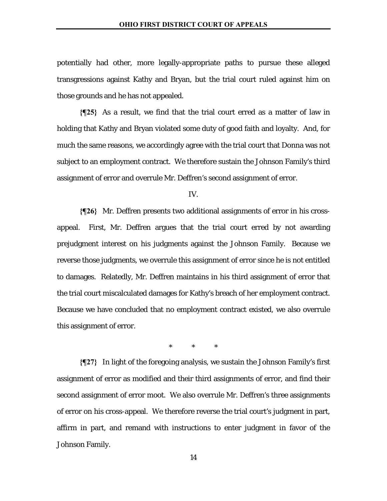potentially had other, more legally-appropriate paths to pursue these alleged transgressions against Kathy and Bryan, but the trial court ruled against him on those grounds and he has not appealed.

**{¶25}** As a result, we find that the trial court erred as a matter of law in holding that Kathy and Bryan violated some duty of good faith and loyalty. And, for much the same reasons, we accordingly agree with the trial court that Donna was not subject to an employment contract. We therefore sustain the Johnson Family's third assignment of error and overrule Mr. Deffren's second assignment of error.

IV.

**{¶26}** Mr. Deffren presents two additional assignments of error in his crossappeal. First, Mr. Deffren argues that the trial court erred by not awarding prejudgment interest on his judgments against the Johnson Family. Because we reverse those judgments, we overrule this assignment of error since he is not entitled to damages. Relatedly, Mr. Deffren maintains in his third assignment of error that the trial court miscalculated damages for Kathy's breach of her employment contract. Because we have concluded that no employment contract existed, we also overrule this assignment of error.

\* \* \*

**{¶27}** In light of the foregoing analysis, we sustain the Johnson Family's first assignment of error as modified and their third assignments of error, and find their second assignment of error moot. We also overrule Mr. Deffren's three assignments of error on his cross-appeal. We therefore reverse the trial court's judgment in part, affirm in part, and remand with instructions to enter judgment in favor of the Johnson Family.